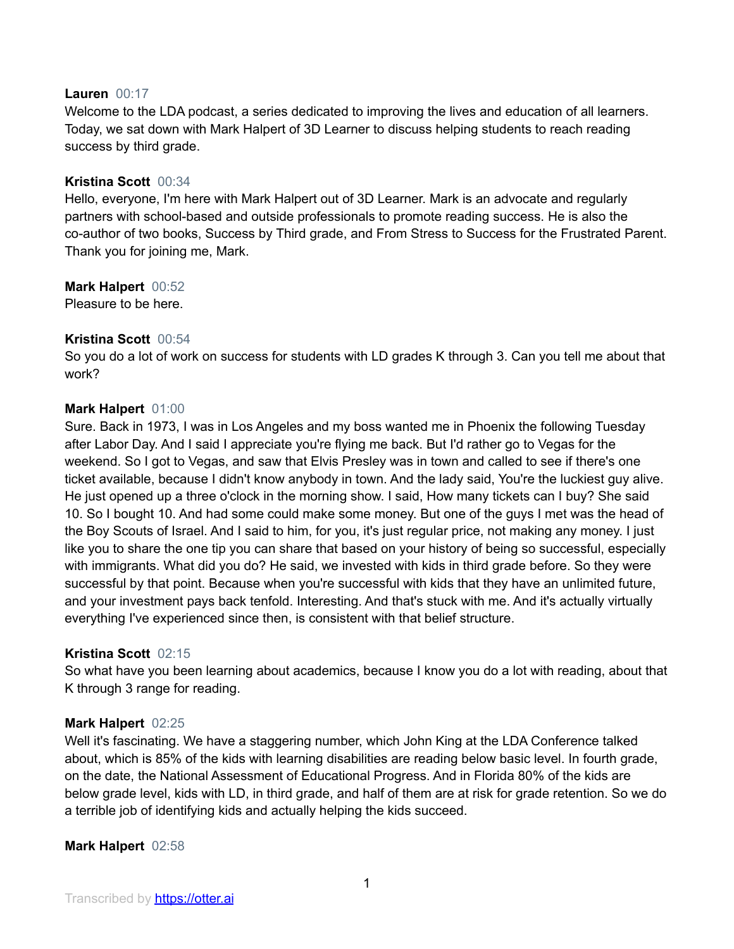## **Lauren** 00:17

Welcome to the LDA podcast, a series dedicated to improving the lives and education of all learners. Today, we sat down with Mark Halpert of 3D Learner to discuss helping students to reach reading success by third grade.

## **Kristina Scott** 00:34

Hello, everyone, I'm here with Mark Halpert out of 3D Learner. Mark is an advocate and regularly partners with school-based and outside professionals to promote reading success. He is also the co-author of two books, Success by Third grade, and From Stress to Success for the Frustrated Parent. Thank you for joining me, Mark.

**Mark Halpert** 00:52

Pleasure to be here.

## **Kristina Scott** 00:54

So you do a lot of work on success for students with LD grades K through 3. Can you tell me about that work?

## **Mark Halpert** 01:00

Sure. Back in 1973, I was in Los Angeles and my boss wanted me in Phoenix the following Tuesday after Labor Day. And I said I appreciate you're flying me back. But I'd rather go to Vegas for the weekend. So I got to Vegas, and saw that Elvis Presley was in town and called to see if there's one ticket available, because I didn't know anybody in town. And the lady said, You're the luckiest guy alive. He just opened up a three o'clock in the morning show. I said, How many tickets can I buy? She said 10. So I bought 10. And had some could make some money. But one of the guys I met was the head of the Boy Scouts of Israel. And I said to him, for you, it's just regular price, not making any money. I just like you to share the one tip you can share that based on your history of being so successful, especially with immigrants. What did you do? He said, we invested with kids in third grade before. So they were successful by that point. Because when you're successful with kids that they have an unlimited future, and your investment pays back tenfold. Interesting. And that's stuck with me. And it's actually virtually everything I've experienced since then, is consistent with that belief structure.

## **Kristina Scott** 02:15

So what have you been learning about academics, because I know you do a lot with reading, about that K through 3 range for reading.

## **Mark Halpert** 02:25

Well it's fascinating. We have a staggering number, which John King at the LDA Conference talked about, which is 85% of the kids with learning disabilities are reading below basic level. In fourth grade, on the date, the National Assessment of Educational Progress. And in Florida 80% of the kids are below grade level, kids with LD, in third grade, and half of them are at risk for grade retention. So we do a terrible job of identifying kids and actually helping the kids succeed.

## **Mark Halpert** 02:58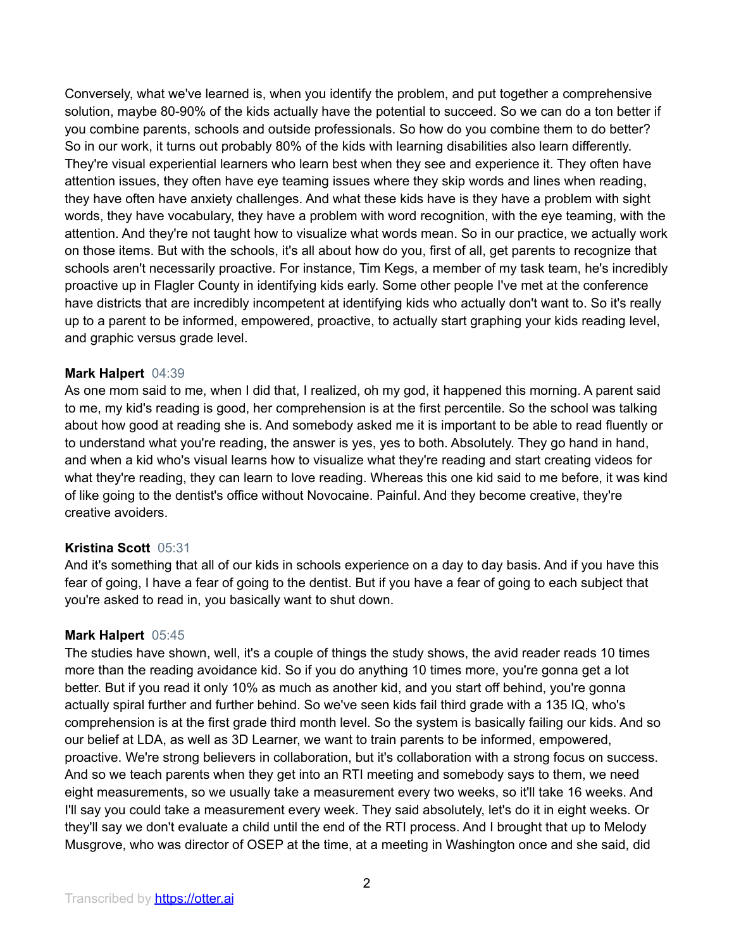Conversely, what we've learned is, when you identify the problem, and put together a comprehensive solution, maybe 80-90% of the kids actually have the potential to succeed. So we can do a ton better if you combine parents, schools and outside professionals. So how do you combine them to do better? So in our work, it turns out probably 80% of the kids with learning disabilities also learn differently. They're visual experiential learners who learn best when they see and experience it. They often have attention issues, they often have eye teaming issues where they skip words and lines when reading, they have often have anxiety challenges. And what these kids have is they have a problem with sight words, they have vocabulary, they have a problem with word recognition, with the eye teaming, with the attention. And they're not taught how to visualize what words mean. So in our practice, we actually work on those items. But with the schools, it's all about how do you, first of all, get parents to recognize that schools aren't necessarily proactive. For instance, Tim Kegs, a member of my task team, he's incredibly proactive up in Flagler County in identifying kids early. Some other people I've met at the conference have districts that are incredibly incompetent at identifying kids who actually don't want to. So it's really up to a parent to be informed, empowered, proactive, to actually start graphing your kids reading level, and graphic versus grade level.

## **Mark Halpert** 04:39

As one mom said to me, when I did that, I realized, oh my god, it happened this morning. A parent said to me, my kid's reading is good, her comprehension is at the first percentile. So the school was talking about how good at reading she is. And somebody asked me it is important to be able to read fluently or to understand what you're reading, the answer is yes, yes to both. Absolutely. They go hand in hand, and when a kid who's visual learns how to visualize what they're reading and start creating videos for what they're reading, they can learn to love reading. Whereas this one kid said to me before, it was kind of like going to the dentist's office without Novocaine. Painful. And they become creative, they're creative avoiders.

## **Kristina Scott** 05:31

And it's something that all of our kids in schools experience on a day to day basis. And if you have this fear of going, I have a fear of going to the dentist. But if you have a fear of going to each subject that you're asked to read in, you basically want to shut down.

## **Mark Halpert** 05:45

The studies have shown, well, it's a couple of things the study shows, the avid reader reads 10 times more than the reading avoidance kid. So if you do anything 10 times more, you're gonna get a lot better. But if you read it only 10% as much as another kid, and you start off behind, you're gonna actually spiral further and further behind. So we've seen kids fail third grade with a 135 IQ, who's comprehension is at the first grade third month level. So the system is basically failing our kids. And so our belief at LDA, as well as 3D Learner, we want to train parents to be informed, empowered, proactive. We're strong believers in collaboration, but it's collaboration with a strong focus on success. And so we teach parents when they get into an RTI meeting and somebody says to them, we need eight measurements, so we usually take a measurement every two weeks, so it'll take 16 weeks. And I'll say you could take a measurement every week. They said absolutely, let's do it in eight weeks. Or they'll say we don't evaluate a child until the end of the RTI process. And I brought that up to Melody Musgrove, who was director of OSEP at the time, at a meeting in Washington once and she said, did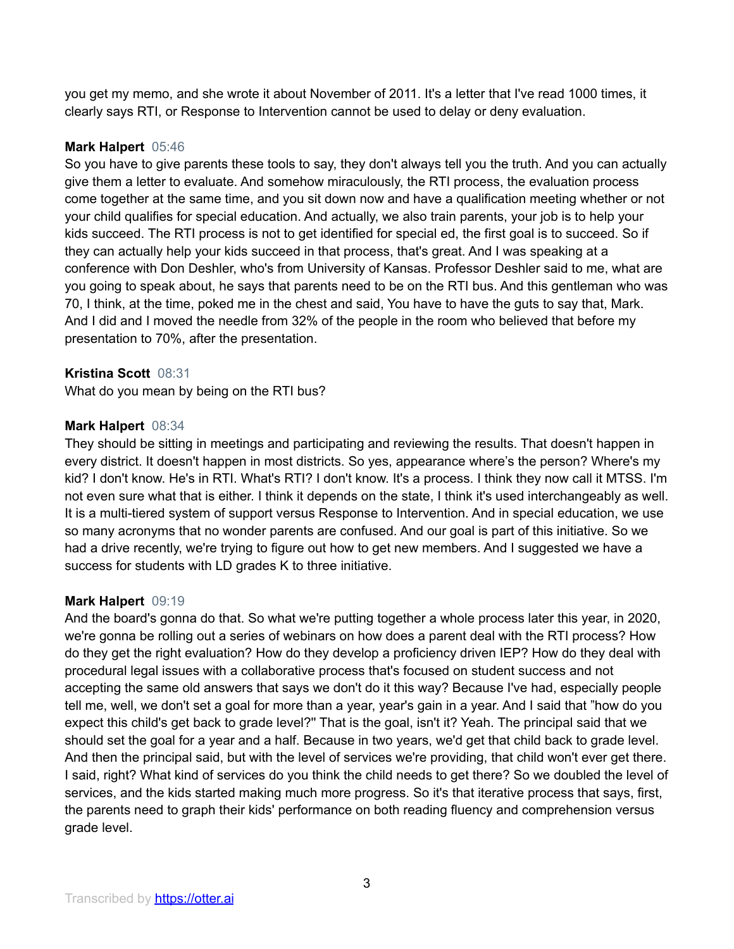you get my memo, and she wrote it about November of 2011. It's a letter that I've read 1000 times, it clearly says RTI, or Response to Intervention cannot be used to delay or deny evaluation.

## **Mark Halpert** 05:46

So you have to give parents these tools to say, they don't always tell you the truth. And you can actually give them a letter to evaluate. And somehow miraculously, the RTI process, the evaluation process come together at the same time, and you sit down now and have a qualification meeting whether or not your child qualifies for special education. And actually, we also train parents, your job is to help your kids succeed. The RTI process is not to get identified for special ed, the first goal is to succeed. So if they can actually help your kids succeed in that process, that's great. And I was speaking at a conference with Don Deshler, who's from University of Kansas. Professor Deshler said to me, what are you going to speak about, he says that parents need to be on the RTI bus. And this gentleman who was 70, I think, at the time, poked me in the chest and said, You have to have the guts to say that, Mark. And I did and I moved the needle from 32% of the people in the room who believed that before my presentation to 70%, after the presentation.

# **Kristina Scott** 08:31

What do you mean by being on the RTI bus?

## **Mark Halpert** 08:34

They should be sitting in meetings and participating and reviewing the results. That doesn't happen in every district. It doesn't happen in most districts. So yes, appearance where's the person? Where's my kid? I don't know. He's in RTI. What's RTI? I don't know. It's a process. I think they now call it MTSS. I'm not even sure what that is either. I think it depends on the state, I think it's used interchangeably as well. It is a multi-tiered system of support versus Response to Intervention. And in special education, we use so many acronyms that no wonder parents are confused. And our goal is part of this initiative. So we had a drive recently, we're trying to figure out how to get new members. And I suggested we have a success for students with LD grades K to three initiative.

## **Mark Halpert** 09:19

And the board's gonna do that. So what we're putting together a whole process later this year, in 2020, we're gonna be rolling out a series of webinars on how does a parent deal with the RTI process? How do they get the right evaluation? How do they develop a proficiency driven IEP? How do they deal with procedural legal issues with a collaborative process that's focused on student success and not accepting the same old answers that says we don't do it this way? Because I've had, especially people tell me, well, we don't set a goal for more than a year, year's gain in a year. And I said that "how do you expect this child's get back to grade level?'' That is the goal, isn't it? Yeah. The principal said that we should set the goal for a year and a half. Because in two years, we'd get that child back to grade level. And then the principal said, but with the level of services we're providing, that child won't ever get there. I said, right? What kind of services do you think the child needs to get there? So we doubled the level of services, and the kids started making much more progress. So it's that iterative process that says, first, the parents need to graph their kids' performance on both reading fluency and comprehension versus grade level.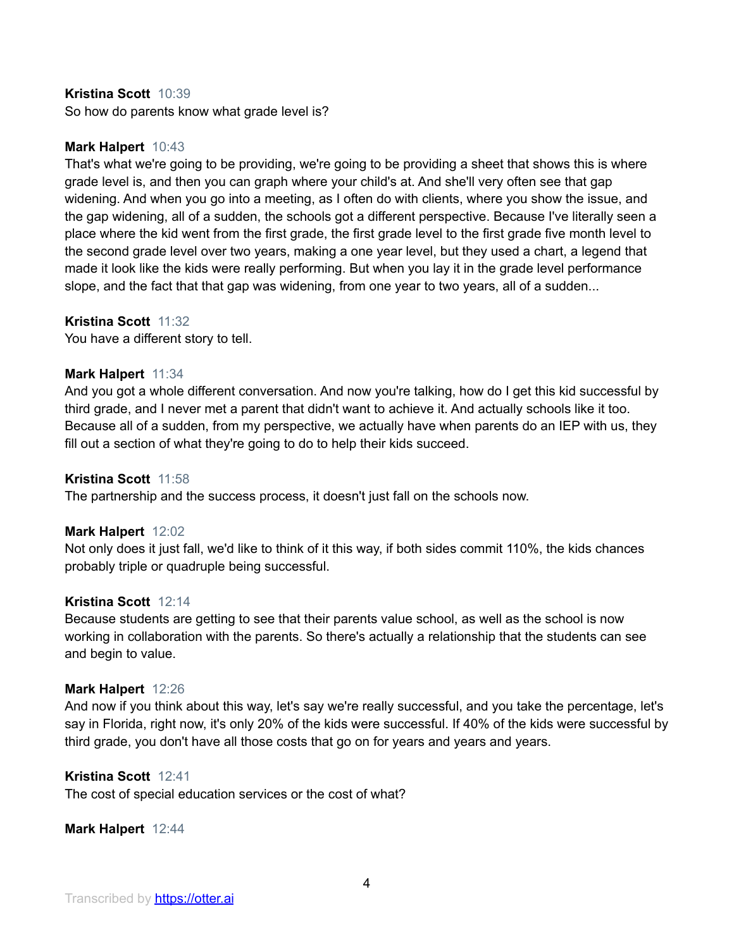#### **Kristina Scott** 10:39

So how do parents know what grade level is?

## **Mark Halpert** 10:43

That's what we're going to be providing, we're going to be providing a sheet that shows this is where grade level is, and then you can graph where your child's at. And she'll very often see that gap widening. And when you go into a meeting, as I often do with clients, where you show the issue, and the gap widening, all of a sudden, the schools got a different perspective. Because I've literally seen a place where the kid went from the first grade, the first grade level to the first grade five month level to the second grade level over two years, making a one year level, but they used a chart, a legend that made it look like the kids were really performing. But when you lay it in the grade level performance slope, and the fact that that gap was widening, from one year to two years, all of a sudden...

## **Kristina Scott** 11:32

You have a different story to tell.

## **Mark Halpert** 11:34

And you got a whole different conversation. And now you're talking, how do I get this kid successful by third grade, and I never met a parent that didn't want to achieve it. And actually schools like it too. Because all of a sudden, from my perspective, we actually have when parents do an IEP with us, they fill out a section of what they're going to do to help their kids succeed.

#### **Kristina Scott** 11:58

The partnership and the success process, it doesn't just fall on the schools now.

#### **Mark Halpert** 12:02

Not only does it just fall, we'd like to think of it this way, if both sides commit 110%, the kids chances probably triple or quadruple being successful.

#### **Kristina Scott** 12:14

Because students are getting to see that their parents value school, as well as the school is now working in collaboration with the parents. So there's actually a relationship that the students can see and begin to value.

#### **Mark Halpert** 12:26

And now if you think about this way, let's say we're really successful, and you take the percentage, let's say in Florida, right now, it's only 20% of the kids were successful. If 40% of the kids were successful by third grade, you don't have all those costs that go on for years and years and years.

#### **Kristina Scott** 12:41

The cost of special education services or the cost of what?

**Mark Halpert** 12:44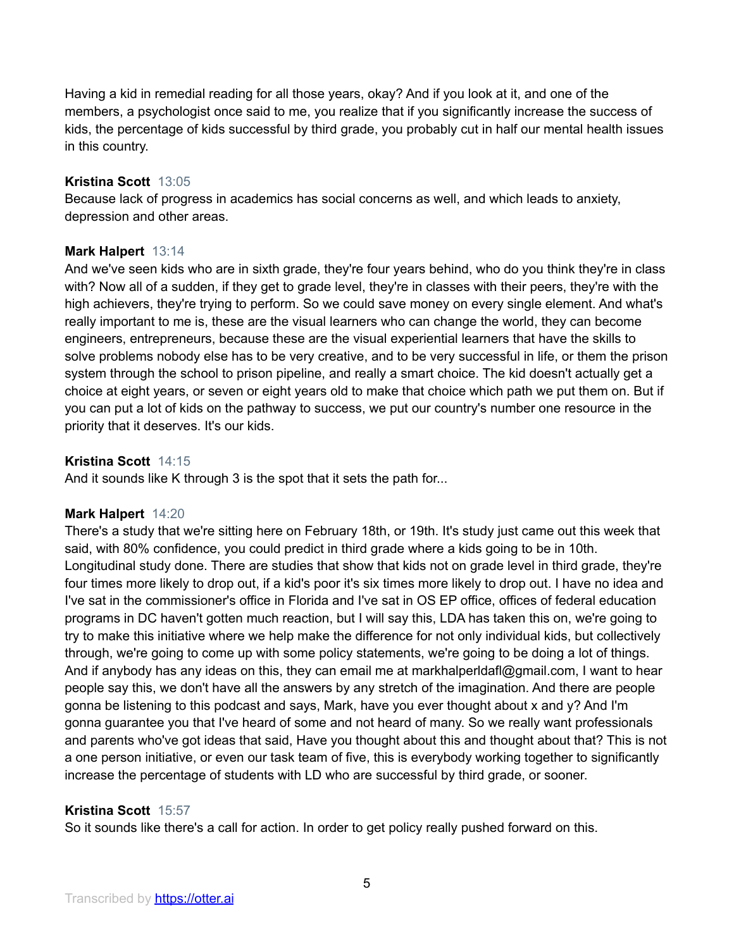Having a kid in remedial reading for all those years, okay? And if you look at it, and one of the members, a psychologist once said to me, you realize that if you significantly increase the success of kids, the percentage of kids successful by third grade, you probably cut in half our mental health issues in this country.

## **Kristina Scott** 13:05

Because lack of progress in academics has social concerns as well, and which leads to anxiety, depression and other areas.

## **Mark Halpert** 13:14

And we've seen kids who are in sixth grade, they're four years behind, who do you think they're in class with? Now all of a sudden, if they get to grade level, they're in classes with their peers, they're with the high achievers, they're trying to perform. So we could save money on every single element. And what's really important to me is, these are the visual learners who can change the world, they can become engineers, entrepreneurs, because these are the visual experiential learners that have the skills to solve problems nobody else has to be very creative, and to be very successful in life, or them the prison system through the school to prison pipeline, and really a smart choice. The kid doesn't actually get a choice at eight years, or seven or eight years old to make that choice which path we put them on. But if you can put a lot of kids on the pathway to success, we put our country's number one resource in the priority that it deserves. It's our kids.

## **Kristina Scott** 14:15

And it sounds like K through 3 is the spot that it sets the path for...

## **Mark Halpert** 14:20

There's a study that we're sitting here on February 18th, or 19th. It's study just came out this week that said, with 80% confidence, you could predict in third grade where a kids going to be in 10th. Longitudinal study done. There are studies that show that kids not on grade level in third grade, they're four times more likely to drop out, if a kid's poor it's six times more likely to drop out. I have no idea and I've sat in the commissioner's office in Florida and I've sat in OS EP office, offices of federal education programs in DC haven't gotten much reaction, but I will say this, LDA has taken this on, we're going to try to make this initiative where we help make the difference for not only individual kids, but collectively through, we're going to come up with some policy statements, we're going to be doing a lot of things. And if anybody has any ideas on this, they can email me at markhalperldafl@gmail.com, I want to hear people say this, we don't have all the answers by any stretch of the imagination. And there are people gonna be listening to this podcast and says, Mark, have you ever thought about x and y? And I'm gonna guarantee you that I've heard of some and not heard of many. So we really want professionals and parents who've got ideas that said, Have you thought about this and thought about that? This is not a one person initiative, or even our task team of five, this is everybody working together to significantly increase the percentage of students with LD who are successful by third grade, or sooner.

## **Kristina Scott** 15:57

So it sounds like there's a call for action. In order to get policy really pushed forward on this.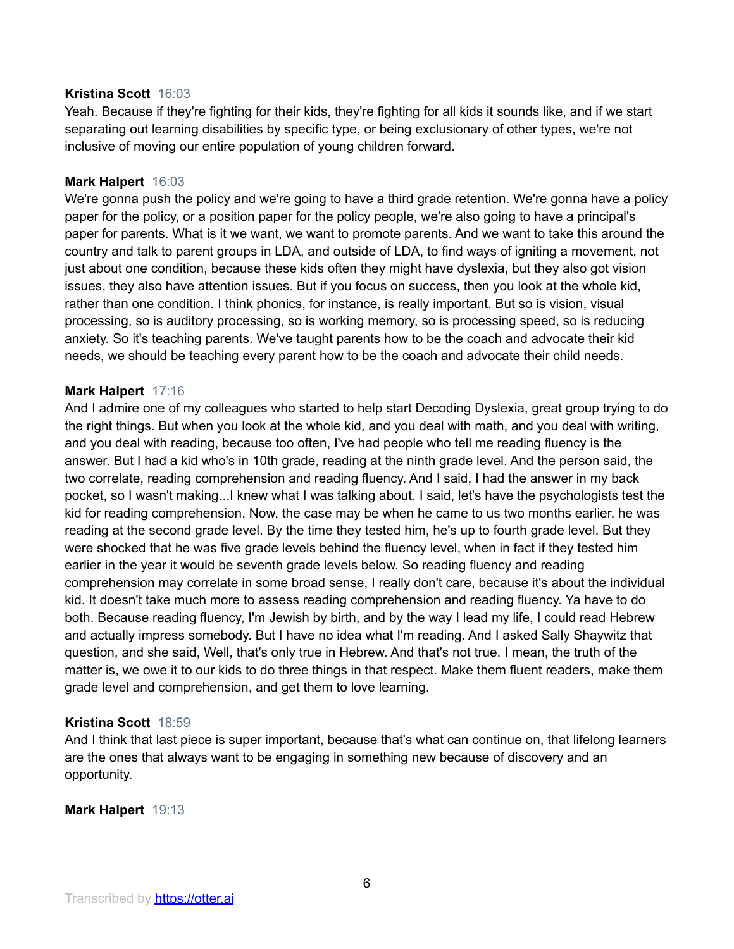#### **Kristina Scott** 16:03

Yeah. Because if they're fighting for their kids, they're fighting for all kids it sounds like, and if we start separating out learning disabilities by specific type, or being exclusionary of other types, we're not inclusive of moving our entire population of young children forward.

## **Mark Halpert** 16:03

We're gonna push the policy and we're going to have a third grade retention. We're gonna have a policy paper for the policy, or a position paper for the policy people, we're also going to have a principal's paper for parents. What is it we want, we want to promote parents. And we want to take this around the country and talk to parent groups in LDA, and outside of LDA, to find ways of igniting a movement, not just about one condition, because these kids often they might have dyslexia, but they also got vision issues, they also have attention issues. But if you focus on success, then you look at the whole kid, rather than one condition. I think phonics, for instance, is really important. But so is vision, visual processing, so is auditory processing, so is working memory, so is processing speed, so is reducing anxiety. So it's teaching parents. We've taught parents how to be the coach and advocate their kid needs, we should be teaching every parent how to be the coach and advocate their child needs.

## **Mark Halpert** 17:16

And I admire one of my colleagues who started to help start Decoding Dyslexia, great group trying to do the right things. But when you look at the whole kid, and you deal with math, and you deal with writing, and you deal with reading, because too often, I've had people who tell me reading fluency is the answer. But I had a kid who's in 10th grade, reading at the ninth grade level. And the person said, the two correlate, reading comprehension and reading fluency. And I said, I had the answer in my back pocket, so I wasn't making...I knew what I was talking about. I said, let's have the psychologists test the kid for reading comprehension. Now, the case may be when he came to us two months earlier, he was reading at the second grade level. By the time they tested him, he's up to fourth grade level. But they were shocked that he was five grade levels behind the fluency level, when in fact if they tested him earlier in the year it would be seventh grade levels below. So reading fluency and reading comprehension may correlate in some broad sense, I really don't care, because it's about the individual kid. It doesn't take much more to assess reading comprehension and reading fluency. Ya have to do both. Because reading fluency, I'm Jewish by birth, and by the way I lead my life, I could read Hebrew and actually impress somebody. But I have no idea what I'm reading. And I asked Sally Shaywitz that question, and she said, Well, that's only true in Hebrew. And that's not true. I mean, the truth of the matter is, we owe it to our kids to do three things in that respect. Make them fluent readers, make them grade level and comprehension, and get them to love learning.

## **Kristina Scott** 18:59

And I think that last piece is super important, because that's what can continue on, that lifelong learners are the ones that always want to be engaging in something new because of discovery and an opportunity.

## **Mark Halpert** 19:13